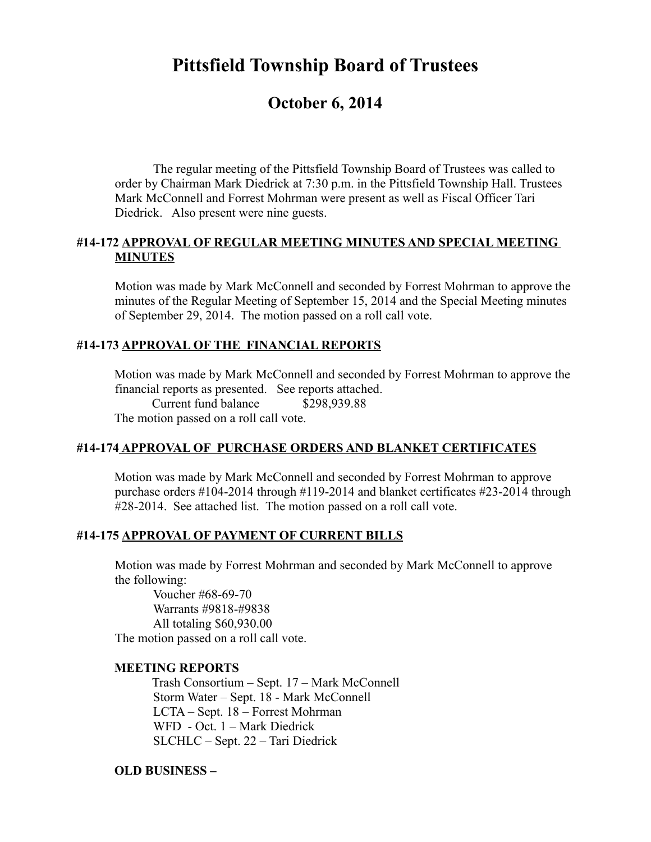# **Pittsfield Township Board of Trustees**

## **October 6, 2014**

The regular meeting of the Pittsfield Township Board of Trustees was called to order by Chairman Mark Diedrick at 7:30 p.m. in the Pittsfield Township Hall. Trustees Mark McConnell and Forrest Mohrman were present as well as Fiscal Officer Tari Diedrick. Also present were nine guests.

#### **#14-172 APPROVAL OF REGULAR MEETING MINUTES AND SPECIAL MEETING MINUTES**

Motion was made by Mark McConnell and seconded by Forrest Mohrman to approve the minutes of the Regular Meeting of September 15, 2014 and the Special Meeting minutes of September 29, 2014. The motion passed on a roll call vote.

## **#14-173 APPROVAL OF THE FINANCIAL REPORTS**

Motion was made by Mark McConnell and seconded by Forrest Mohrman to approve the financial reports as presented. See reports attached.

Current fund balance \$298,939.88

The motion passed on a roll call vote.

## **#14-174 APPROVAL OF PURCHASE ORDERS AND BLANKET CERTIFICATES**

Motion was made by Mark McConnell and seconded by Forrest Mohrman to approve purchase orders #104-2014 through #119-2014 and blanket certificates #23-2014 through #28-2014. See attached list. The motion passed on a roll call vote.

#### **#14-175 APPROVAL OF PAYMENT OF CURRENT BILLS**

Motion was made by Forrest Mohrman and seconded by Mark McConnell to approve the following:

Voucher #68-69-70 Warrants #9818-#9838 All totaling \$60,930.00 The motion passed on a roll call vote.

#### **MEETING REPORTS**

Trash Consortium – Sept. 17 – Mark McConnell Storm Water – Sept. 18 - Mark McConnell LCTA – Sept. 18 – Forrest Mohrman WFD - Oct. 1 – Mark Diedrick SLCHLC – Sept. 22 – Tari Diedrick

#### **OLD BUSINESS –**